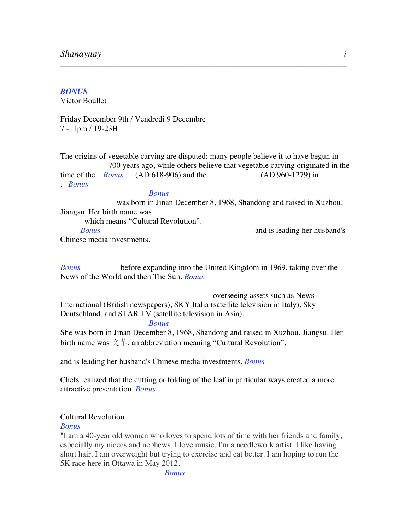## *BONUS*

Victor Boullet

Friday December 9th / Vendredi 9 Decembre 7 -11pm / 19-23H

The origins of vegetable carving are disputed: many people believe it to have begun in 700 years ago, while others believe that vegetable carving originated in the time of the *Bonus* (AD 618-906) and the (AD 960-1279) in . *Bonus*

\_\_\_\_\_\_\_\_\_\_\_\_\_\_\_\_\_\_\_\_\_\_\_\_\_\_\_\_\_\_\_\_\_\_\_\_\_\_\_\_\_\_\_\_\_\_\_\_\_\_\_\_\_\_\_\_\_\_\_\_\_\_\_\_\_\_\_\_\_\_\_

#### *Bonus*

 was born in Jinan December 8, 1968, Shandong and raised in Xuzhou, Jiangsu. Her birth name was which means "Cultural Revolution". *Bonus* and is leading her husband's Chinese media investments.

*Bonus* before expanding into the United Kingdom in 1969, taking over the News of the World and then The Sun. *Bonus*

 overseeing assets such as News International (British newspapers), SKY Italia (satellite television in Italy), Sky Deutschland, and STAR TV (satellite television in Asia). *Bonus*

She was born in Jinan December 8, 1968, Shandong and raised in Xuzhou, Jiangsu. Her birth name was  $\overline{\chi}$   $\ddot{\equiv}$ , an abbreviation meaning "Cultural Revolution".

and is leading her husband's Chinese media investments. *Bonus*

Chefs realized that the cutting or folding of the leaf in particular ways created a more attractive presentation. *Bonus*

## Cultural Revolution

#### *Bonus*

"I am a 40-year old woman who loves to spend lots of time with her friends and family, especially my nieces and nephews. I love music. I'm a needlework artist. I like having short hair. I am overweight but trying to exercise and eat better. I am hoping to run the 5K race here in Ottawa in May 2012."

*Bonus*